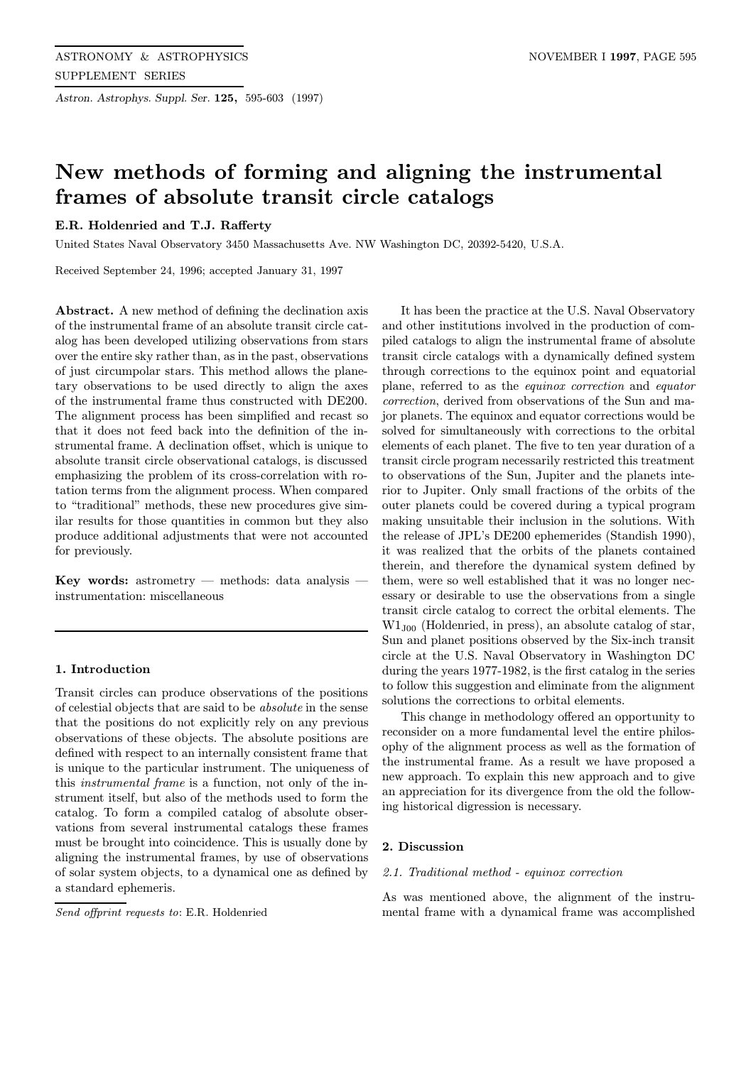Astron. Astrophys. Suppl. Ser. 125, 595-603 (1997)

# New methods of forming and aligning the instrumental frames of absolute transit circle catalogs

# E.R. Holdenried and T.J. Rafferty

United States Naval Observatory 3450 Massachusetts Ave. NW Washington DC, 20392-5420, U.S.A.

Received September 24, 1996; accepted January 31, 1997

Abstract. A new method of defining the declination axis of the instrumental frame of an absolute transit circle catalog has been developed utilizing observations from stars over the entire sky rather than, as in the past, observations of just circumpolar stars. This method allows the planetary observations to be used directly to align the axes of the instrumental frame thus constructed with DE200. The alignment process has been simplified and recast so that it does not feed back into the definition of the instrumental frame. A declination offset, which is unique to absolute transit circle observational catalogs, is discussed emphasizing the problem of its cross-correlation with rotation terms from the alignment process. When compared to "traditional" methods, these new procedures give similar results for those quantities in common but they also produce additional adjustments that were not accounted for previously.

Key words: astrometry — methods: data analysis instrumentation: miscellaneous

# 1. Introduction

Transit circles can produce observations of the positions of celestial objects that are said to be absolute in the sense that the positions do not explicitly rely on any previous observations of these objects. The absolute positions are defined with respect to an internally consistent frame that is unique to the particular instrument. The uniqueness of this instrumental frame is a function, not only of the instrument itself, but also of the methods used to form the catalog. To form a compiled catalog of absolute observations from several instrumental catalogs these frames must be brought into coincidence. This is usually done by aligning the instrumental frames, by use of observations of solar system objects, to a dynamical one as defined by a standard ephemeris.

Send offprint requests to: E.R. Holdenried

It has been the practice at the U.S. Naval Observatory and other institutions involved in the production of compiled catalogs to align the instrumental frame of absolute transit circle catalogs with a dynamically defined system through corrections to the equinox point and equatorial plane, referred to as the equinox correction and equator correction, derived from observations of the Sun and major planets. The equinox and equator corrections would be solved for simultaneously with corrections to the orbital elements of each planet. The five to ten year duration of a transit circle program necessarily restricted this treatment to observations of the Sun, Jupiter and the planets interior to Jupiter. Only small fractions of the orbits of the outer planets could be covered during a typical program making unsuitable their inclusion in the solutions. With the release of JPL's DE200 ephemerides (Standish 1990), it was realized that the orbits of the planets contained therein, and therefore the dynamical system defined by them, were so well established that it was no longer necessary or desirable to use the observations from a single transit circle catalog to correct the orbital elements. The W1J00 (Holdenried, in press), an absolute catalog of star, Sun and planet positions observed by the Six-inch transit circle at the U.S. Naval Observatory in Washington DC during the years 1977-1982, is the first catalog in the series to follow this suggestion and eliminate from the alignment solutions the corrections to orbital elements.

This change in methodology offered an opportunity to reconsider on a more fundamental level the entire philosophy of the alignment process as well as the formation of the instrumental frame. As a result we have proposed a new approach. To explain this new approach and to give an appreciation for its divergence from the old the following historical digression is necessary.

# 2. Discussion

## 2.1. Traditional method - equinox correction

As was mentioned above, the alignment of the instrumental frame with a dynamical frame was accomplished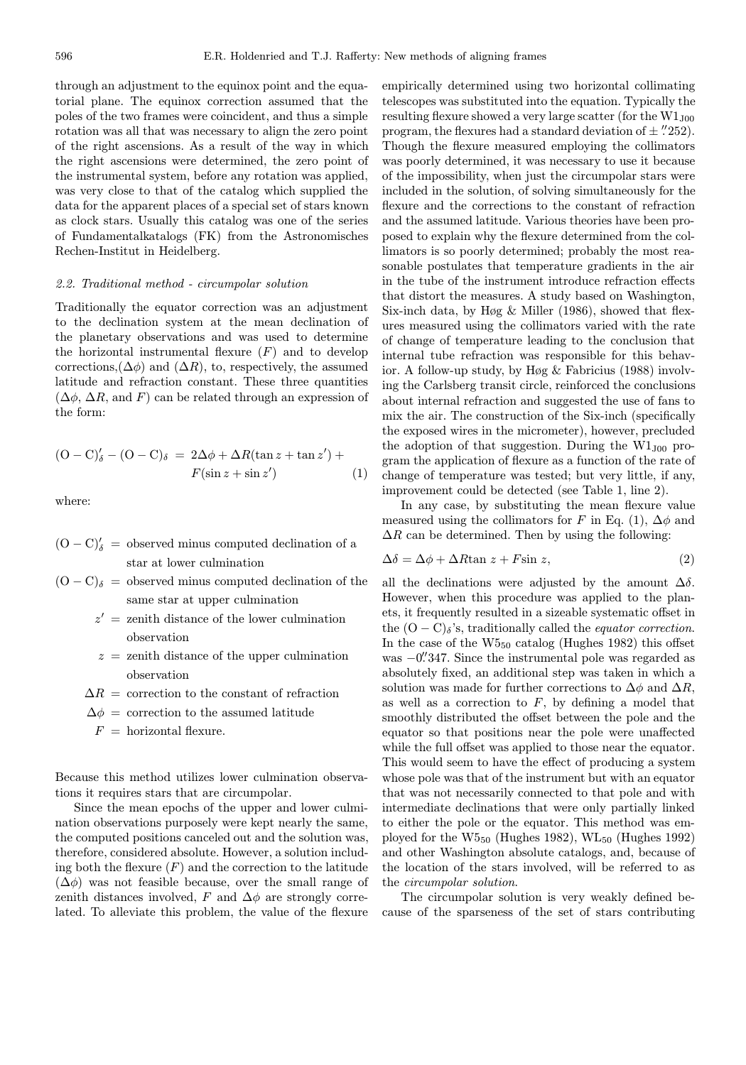through an adjustment to the equinox point and the equatorial plane. The equinox correction assumed that the poles of the two frames were coincident, and thus a simple rotation was all that was necessary to align the zero point of the right ascensions. As a result of the way in which the right ascensions were determined, the zero point of the instrumental system, before any rotation was applied, was very close to that of the catalog which supplied the data for the apparent places of a special set of stars known as clock stars. Usually this catalog was one of the series of Fundamentalkatalogs (FK) from the Astronomisches Rechen-Institut in Heidelberg.

### 2.2. Traditional method - circumpolar solution

Traditionally the equator correction was an adjustment to the declination system at the mean declination of the planetary observations and was used to determine the horizontal instrumental flexure  $(F)$  and to develop corrections, $(\Delta \phi)$  and  $(\Delta R)$ , to, respectively, the assumed latitude and refraction constant. These three quantities  $(\Delta \phi, \Delta R, \text{ and } F)$  can be related through an expression of the form:

$$
(\text{O} - \text{C})'_{\delta} - (\text{O} - \text{C})_{\delta} = 2\Delta\phi + \Delta R(\tan z + \tan z') + F(\sin z + \sin z') \tag{1}
$$

where:

- $(O C)_{\delta}^{\prime}$  = observed minus computed declination of a star at lower culmination
- $(O C)_{\delta}$  = observed minus computed declination of the same star at upper culmination
	- $z' =$  zenith distance of the lower culmination observation
	- $z =$  zenith distance of the upper culmination observation
	- $\Delta R =$  correction to the constant of refraction
	- $\Delta \phi =$  correction to the assumed latitude
	- $F =$  horizontal flexure.

Because this method utilizes lower culmination observations it requires stars that are circumpolar.

Since the mean epochs of the upper and lower culmination observations purposely were kept nearly the same, the computed positions canceled out and the solution was, therefore, considered absolute. However, a solution including both the flexure  $(F)$  and the correction to the latitude  $(\Delta \phi)$  was not feasible because, over the small range of zenith distances involved, F and  $\Delta \phi$  are strongly correlated. To alleviate this problem, the value of the flexure

empirically determined using two horizontal collimating telescopes was substituted into the equation. Typically the resulting flexure showed a very large scatter (for the  $W1_{J00}$ ) program, the flexures had a standard deviation of  $\pm$  "252). Though the flexure measured employing the collimators was poorly determined, it was necessary to use it because of the impossibility, when just the circumpolar stars were included in the solution, of solving simultaneously for the flexure and the corrections to the constant of refraction and the assumed latitude. Various theories have been proposed to explain why the flexure determined from the collimators is so poorly determined; probably the most reasonable postulates that temperature gradients in the air in the tube of the instrument introduce refraction effects that distort the measures. A study based on Washington, Six-inch data, by Høg & Miller (1986), showed that flexures measured using the collimators varied with the rate of change of temperature leading to the conclusion that internal tube refraction was responsible for this behavior. A follow-up study, by Høg & Fabricius (1988) involving the Carlsberg transit circle, reinforced the conclusions about internal refraction and suggested the use of fans to mix the air. The construction of the Six-inch (specifically the exposed wires in the micrometer), however, precluded the adoption of that suggestion. During the  $W1_{J00}$  program the application of flexure as a function of the rate of change of temperature was tested; but very little, if any, improvement could be detected (see Table 1, line 2).

In any case, by substituting the mean flexure value measured using the collimators for F in Eq. (1),  $\Delta\phi$  and  $\Delta R$  can be determined. Then by using the following:

$$
\Delta \delta = \Delta \phi + \Delta R \tan z + F \sin z, \qquad (2)
$$

all the declinations were adjusted by the amount  $\Delta \delta$ . However, when this procedure was applied to the planets, it frequently resulted in a sizeable systematic offset in the  $(O - C)_{\delta}$ 's, traditionally called the *equator correction*. In the case of the  $W5_{50}$  catalog (Hughes 1982) this offset was  $-0$ "347. Since the instrumental pole was regarded as absolutely fixed, an additional step was taken in which a solution was made for further corrections to  $\Delta\phi$  and  $\Delta R$ , as well as a correction to  $F$ , by defining a model that smoothly distributed the offset between the pole and the equator so that positions near the pole were unaffected while the full offset was applied to those near the equator. This would seem to have the effect of producing a system whose pole was that of the instrument but with an equator that was not necessarily connected to that pole and with intermediate declinations that were only partially linked to either the pole or the equator. This method was employed for the  $W5_{50}$  (Hughes 1982),  $W<sub>50</sub>$  (Hughes 1992) and other Washington absolute catalogs, and, because of the location of the stars involved, will be referred to as the circumpolar solution.

The circumpolar solution is very weakly defined because of the sparseness of the set of stars contributing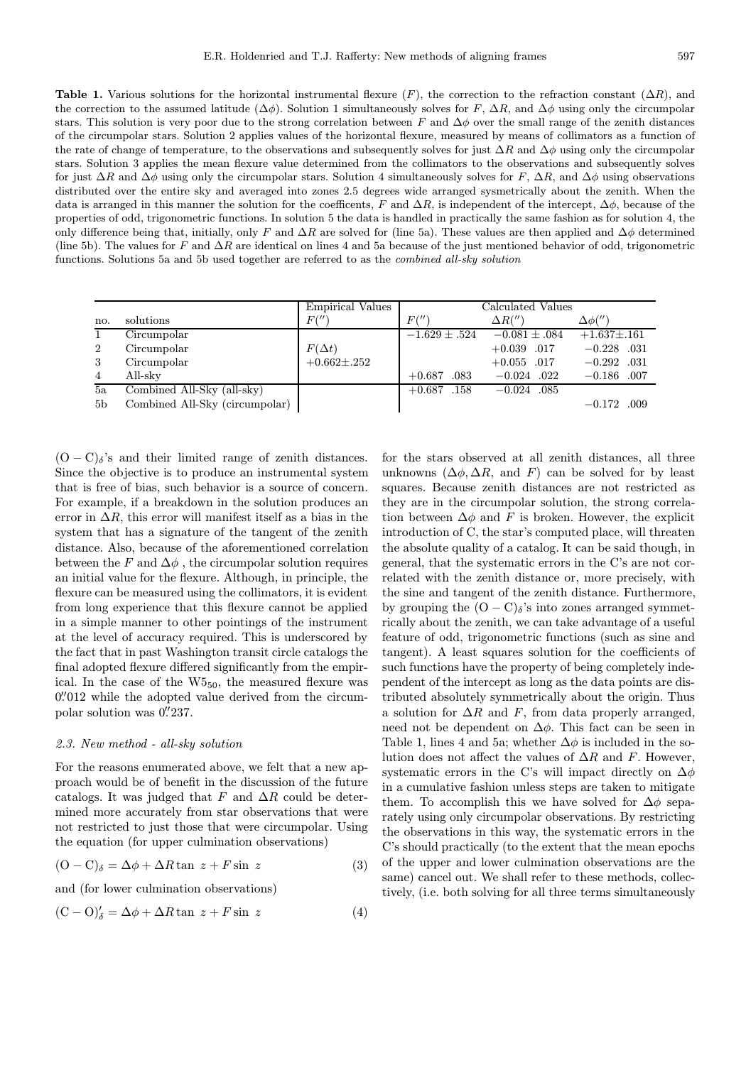Table 1. Various solutions for the horizontal instrumental flexure  $(F)$ , the correction to the refraction constant  $(\Delta R)$ , and the correction to the assumed latitude ( $\Delta\phi$ ). Solution 1 simultaneously solves for F,  $\Delta R$ , and  $\Delta\phi$  using only the circumpolar stars. This solution is very poor due to the strong correlation between F and  $\Delta\phi$  over the small range of the zenith distances of the circumpolar stars. Solution 2 applies values of the horizontal flexure, measured by means of collimators as a function of the rate of change of temperature, to the observations and subsequently solves for just  $\Delta R$  and  $\Delta \phi$  using only the circumpolar stars. Solution 3 applies the mean flexure value determined from the collimators to the observations and subsequently solves for just  $\Delta R$  and  $\Delta \phi$  using only the circumpolar stars. Solution 4 simultaneously solves for F,  $\Delta R$ , and  $\Delta \phi$  using observations distributed over the entire sky and averaged into zones 2.5 degrees wide arranged sysmetrically about the zenith. When the data is arranged in this manner the solution for the coefficents, F and  $\Delta R$ , is independent of the intercept,  $\Delta \phi$ , because of the properties of odd, trigonometric functions. In solution 5 the data is handled in practically the same fashion as for solution 4, the only difference being that, initially, only F and  $\Delta R$  are solved for (line 5a). These values are then applied and  $\Delta \phi$  determined (line 5b). The values for F and  $\Delta R$  are identical on lines 4 and 5a because of the just mentioned behavior of odd, trigonometric functions. Solutions 5a and 5b used together are referred to as the combined all-sky solution

|                |                                | <b>Empirical Values</b> | Calculated Values |                   |                   |  |  |
|----------------|--------------------------------|-------------------------|-------------------|-------------------|-------------------|--|--|
| no.            | solutions                      | F('')                   | F('')             | $\Delta R'''$     | $\Delta\phi('')$  |  |  |
|                | Circumpolar                    |                         | $-1.629 \pm .524$ | $-0.081 \pm .084$ | $+1.637 \pm .161$ |  |  |
| 2              | Circumpolar                    | $F(\Delta t)$           |                   | $+0.039$ .017     | $-0.228$ .031     |  |  |
| 3              | Circumpolar                    | $+0.662 \pm .252$       |                   | $+0.055$ .017     | $-0.292$ .031     |  |  |
| $\overline{4}$ | All-sky                        |                         | $+0.687$<br>.083  | $-0.024$ .022     | $-0.186$ .007     |  |  |
| 5a             | Combined All-Sky (all-sky)     |                         | $+0.687$ .158     | $-0.024$ .085     |                   |  |  |
| 5 <sub>b</sub> | Combined All-Sky (circumpolar) |                         |                   |                   | $-0.172$ .009     |  |  |

 $(O - C)_{\delta}$ 's and their limited range of zenith distances. Since the objective is to produce an instrumental system that is free of bias, such behavior is a source of concern. For example, if a breakdown in the solution produces an error in  $\Delta R$ , this error will manifest itself as a bias in the system that has a signature of the tangent of the zenith distance. Also, because of the aforementioned correlation between the F and  $\Delta \phi$ , the circumpolar solution requires an initial value for the flexure. Although, in principle, the flexure can be measured using the collimators, it is evident from long experience that this flexure cannot be applied in a simple manner to other pointings of the instrument at the level of accuracy required. This is underscored by the fact that in past Washington transit circle catalogs the final adopted flexure differed significantly from the empirical. In the case of the  $W5_{50}$ , the measured flexure was 0.'012 while the adopted value derived from the circumpolar solution was 0.'237.

#### 2.3. New method - all-sky solution

For the reasons enumerated above, we felt that a new approach would be of benefit in the discussion of the future catalogs. It was judged that F and  $\Delta R$  could be determined more accurately from star observations that were not restricted to just those that were circumpolar. Using the equation (for upper culmination observations)

$$
(O - C)_{\delta} = \Delta \phi + \Delta R \tan z + F \sin z \tag{3}
$$

and (for lower culmination observations)

$$
(C - O)'_{\delta} = \Delta \phi + \Delta R \tan z + F \sin z \tag{4}
$$

for the stars observed at all zenith distances, all three unknowns  $(\Delta \phi, \Delta R, \text{ and } F)$  can be solved for by least squares. Because zenith distances are not restricted as they are in the circumpolar solution, the strong correlation between  $\Delta \phi$  and F is broken. However, the explicit introduction of C, the star's computed place, will threaten the absolute quality of a catalog. It can be said though, in general, that the systematic errors in the C's are not correlated with the zenith distance or, more precisely, with the sine and tangent of the zenith distance. Furthermore, by grouping the  $(O - C)_{\delta}$ 's into zones arranged symmetrically about the zenith, we can take advantage of a useful feature of odd, trigonometric functions (such as sine and tangent). A least squares solution for the coefficients of such functions have the property of being completely independent of the intercept as long as the data points are distributed absolutely symmetrically about the origin. Thus a solution for  $\Delta R$  and F, from data properly arranged, need not be dependent on  $\Delta\phi$ . This fact can be seen in Table 1, lines 4 and 5a; whether  $\Delta \phi$  is included in the solution does not affect the values of  $\Delta R$  and F. However, systematic errors in the C's will impact directly on  $\Delta \phi$ in a cumulative fashion unless steps are taken to mitigate them. To accomplish this we have solved for  $\Delta\phi$  separately using only circumpolar observations. By restricting the observations in this way, the systematic errors in the C's should practically (to the extent that the mean epochs of the upper and lower culmination observations are the same) cancel out. We shall refer to these methods, collectively, (i.e. both solving for all three terms simultaneously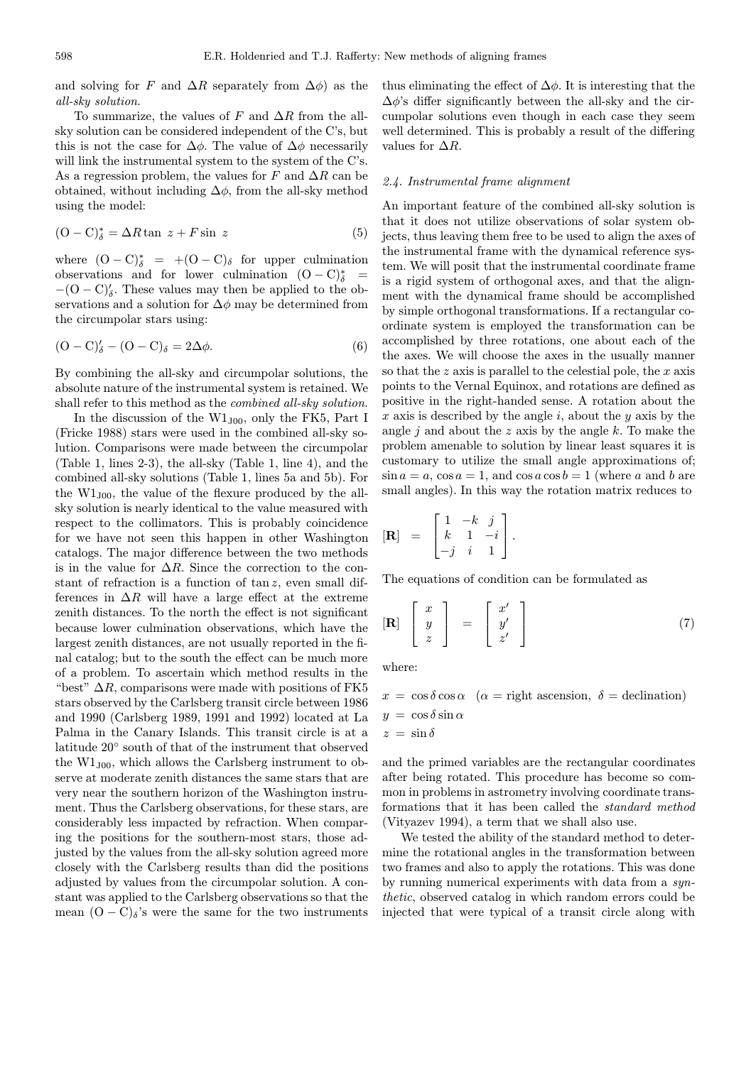and solving for F and  $\Delta R$  separately from  $\Delta \phi$ ) as the all-sky solution.

To summarize, the values of F and  $\Delta R$  from the allsky solution can be considered independent of the C's, but this is not the case for  $\Delta \phi$ . The value of  $\Delta \phi$  necessarily will link the instrumental system to the system of the C's. As a regression problem, the values for F and  $\Delta R$  can be obtained, without including  $\Delta \phi$ , from the all-sky method using the model:

$$
(\mathcal{O} - \mathcal{C})_{\delta}^* = \Delta R \tan \ z + F \sin \ z \tag{5}
$$

where  $(O - C)_{\delta}^* = +(O - C)_{\delta}$  for upper culmination observations and for lower culmination  $(O - C)_{\delta}^*$  =  $-(O-C)<sub>o</sub>$ . These values may then be applied to the observations and a solution for  $\Delta\phi$  may be determined from the circumpolar stars using:

$$
(\mathbf{O} - \mathbf{C})_{\delta}^{\prime} - (\mathbf{O} - \mathbf{C})_{\delta} = 2\Delta\phi.
$$
 (6)

By combining the all-sky and circumpolar solutions, the absolute nature of the instrumental system is retained. We shall refer to this method as the combined all-sky solution.

In the discussion of the  $W1_{100}$ , only the FK5, Part I (Fricke 1988) stars were used in the combined all-sky solution. Comparisons were made between the circumpolar (Table 1, lines 2-3), the all-sky (Table 1, line 4), and the combined all-sky solutions (Table 1, lines 5a and 5b). For the  $W1_{J00}$ , the value of the flexure produced by the allsky solution is nearly identical to the value measured with respect to the collimators. This is probably coincidence for we have not seen this happen in other Washington catalogs. The major difference between the two methods is in the value for  $\Delta R$ . Since the correction to the constant of refraction is a function of  $tan z$ , even small differences in  $\Delta R$  will have a large effect at the extreme zenith distances. To the north the effect is not significant because lower culmination observations, which have the largest zenith distances, are not usually reported in the final catalog; but to the south the effect can be much more of a problem. To ascertain which method results in the "best"  $\Delta R$ , comparisons were made with positions of FK5 stars observed by the Carlsberg transit circle between 1986 and 1990 (Carlsberg 1989, 1991 and 1992) located at La Palma in the Canary Islands. This transit circle is at a latitude 20◦ south of that of the instrument that observed the  $W1_{J00}$ , which allows the Carlsberg instrument to observe at moderate zenith distances the same stars that are very near the southern horizon of the Washington instrument. Thus the Carlsberg observations, for these stars, are considerably less impacted by refraction. When comparing the positions for the southern-most stars, those adjusted by the values from the all-sky solution agreed more closely with the Carlsberg results than did the positions adjusted by values from the circumpolar solution. A constant was applied to the Carlsberg observations so that the mean  $(O - C)_{\delta}$ 's were the same for the two instruments

thus eliminating the effect of  $\Delta \phi$ . It is interesting that the  $\Delta\phi$ 's differ significantly between the all-sky and the circumpolar solutions even though in each case they seem well determined. This is probably a result of the differing values for  $\Delta R$ .

## 2.4. Instrumental frame alignment

An important feature of the combined all-sky solution is that it does not utilize observations of solar system objects, thus leaving them free to be used to align the axes of the instrumental frame with the dynamical reference system. We will posit that the instrumental coordinate frame is a rigid system of orthogonal axes, and that the alignment with the dynamical frame should be accomplished by simple orthogonal transformations. If a rectangular coordinate system is employed the transformation can be accomplished by three rotations, one about each of the the axes. We will choose the axes in the usually manner so that the  $z$  axis is parallel to the celestial pole, the  $x$  axis points to the Vernal Equinox, and rotations are defined as positive in the right-handed sense. A rotation about the x axis is described by the angle i, about the y axis by the angle  $j$  and about the  $z$  axis by the angle  $k$ . To make the problem amenable to solution by linear least squares it is customary to utilize the small angle approximations of;  $\sin a = a$ ,  $\cos a = 1$ , and  $\cos a \cos b = 1$  (where a and b are small angles). In this way the rotation matrix reduces to

$$
\begin{bmatrix} \mathbf{R} \end{bmatrix} = \begin{bmatrix} 1 & -k & j \\ k & 1 & -i \\ -j & i & 1 \end{bmatrix}.
$$

The equations of condition can be formulated as

$$
\begin{bmatrix} \mathbf{R} \end{bmatrix} \begin{bmatrix} x \\ y \\ z \end{bmatrix} = \begin{bmatrix} x' \\ y' \\ z' \end{bmatrix} \tag{7}
$$

where:

$$
x = \cos \delta \cos \alpha \quad (\alpha = \text{right ascension}, \ \delta = \text{declination})
$$

$$
y = \cos \delta \sin \alpha
$$

$$
z = \sin \delta
$$

and the primed variables are the rectangular coordinates after being rotated. This procedure has become so common in problems in astrometry involving coordinate transformations that it has been called the standard method (Vityazev 1994), a term that we shall also use.

We tested the ability of the standard method to determine the rotational angles in the transformation between two frames and also to apply the rotations. This was done by running numerical experiments with data from a synthetic, observed catalog in which random errors could be injected that were typical of a transit circle along with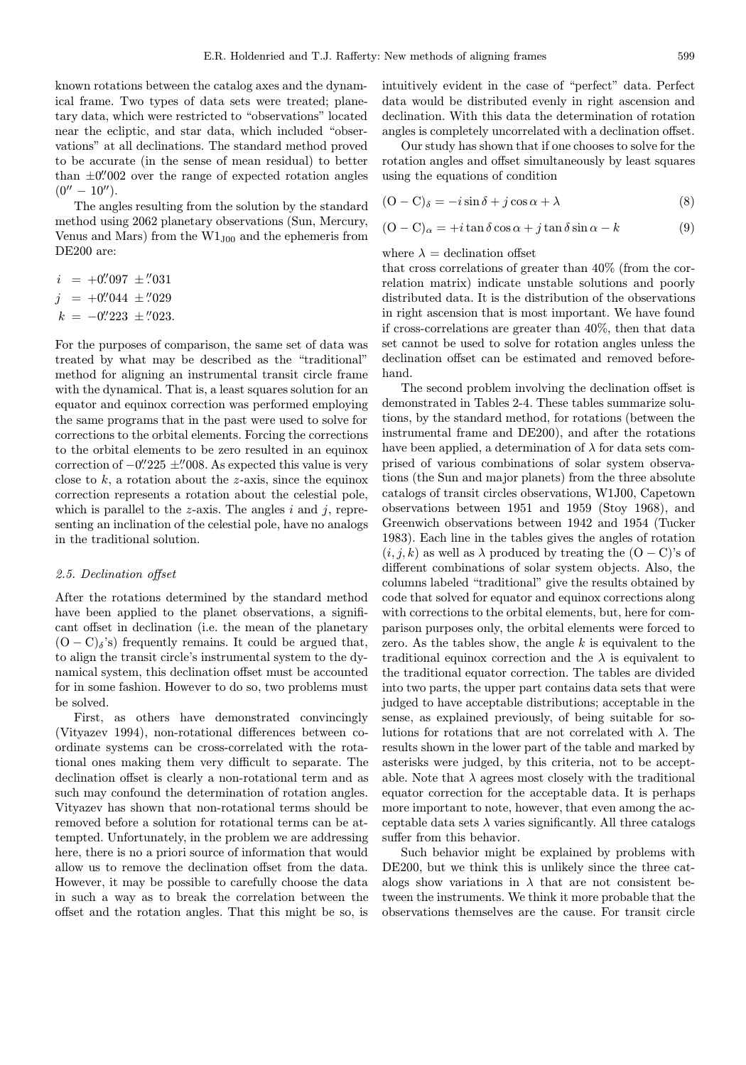known rotations between the catalog axes and the dynamical frame. Two types of data sets were treated; planetary data, which were restricted to "observations" located near the ecliptic, and star data, which included "observations" at all declinations. The standard method proved to be accurate (in the sense of mean residual) to better than  $\pm 0\rlap.{''}002$  over the range of expected rotation angles  $(0'' - 10'')$ .

The angles resulting from the solution by the standard method using 2062 planetary observations (Sun, Mercury, Venus and Mars) from the  $W1_{J00}$  and the ephemeris from DE200 are:

$$
i = +0''.097 \pm .031
$$
  
\n
$$
j = +0''.044 \pm .029
$$
  
\n
$$
k = -0''.223 \pm .023.
$$

For the purposes of comparison, the same set of data was treated by what may be described as the "traditional" method for aligning an instrumental transit circle frame with the dynamical. That is, a least squares solution for an equator and equinox correction was performed employing the same programs that in the past were used to solve for corrections to the orbital elements. Forcing the corrections to the orbital elements to be zero resulted in an equinox correction of  $-0$ "225  $\pm$ "008. As expected this value is very close to  $k$ , a rotation about the z-axis, since the equinox correction represents a rotation about the celestial pole, which is parallel to the z-axis. The angles  $i$  and  $j$ , representing an inclination of the celestial pole, have no analogs in the traditional solution.

## 2.5. Declination offset

After the rotations determined by the standard method have been applied to the planet observations, a significant offset in declination (i.e. the mean of the planetary  $(O - C)_{\delta}$ 's) frequently remains. It could be argued that, to align the transit circle's instrumental system to the dynamical system, this declination offset must be accounted for in some fashion. However to do so, two problems must be solved.

First, as others have demonstrated convincingly (Vityazev 1994), non-rotational differences between coordinate systems can be cross-correlated with the rotational ones making them very difficult to separate. The declination offset is clearly a non-rotational term and as such may confound the determination of rotation angles. Vityazev has shown that non-rotational terms should be removed before a solution for rotational terms can be attempted. Unfortunately, in the problem we are addressing here, there is no a priori source of information that would allow us to remove the declination offset from the data. However, it may be possible to carefully choose the data in such a way as to break the correlation between the offset and the rotation angles. That this might be so, is

intuitively evident in the case of "perfect" data. Perfect data would be distributed evenly in right ascension and declination. With this data the determination of rotation angles is completely uncorrelated with a declination offset.

Our study has shown that if one chooses to solve for the rotation angles and offset simultaneously by least squares using the equations of condition

$$
(O - C)_{\delta} = -i \sin \delta + j \cos \alpha + \lambda \tag{8}
$$

$$
(O - C)_{\alpha} = +i \tan \delta \cos \alpha + j \tan \delta \sin \alpha - k \tag{9}
$$

where  $\lambda =$  declination offset

that cross correlations of greater than 40% (from the correlation matrix) indicate unstable solutions and poorly distributed data. It is the distribution of the observations in right ascension that is most important. We have found if cross-correlations are greater than 40%, then that data set cannot be used to solve for rotation angles unless the declination offset can be estimated and removed beforehand.

The second problem involving the declination offset is demonstrated in Tables 2-4. These tables summarize solutions, by the standard method, for rotations (between the instrumental frame and DE200), and after the rotations have been applied, a determination of  $\lambda$  for data sets comprised of various combinations of solar system observations (the Sun and major planets) from the three absolute catalogs of transit circles observations, W1J00, Capetown observations between 1951 and 1959 (Stoy 1968), and Greenwich observations between 1942 and 1954 (Tucker 1983). Each line in the tables gives the angles of rotation  $(i, j, k)$  as well as  $\lambda$  produced by treating the  $(O - C)$ 's of different combinations of solar system objects. Also, the columns labeled "traditional" give the results obtained by code that solved for equator and equinox corrections along with corrections to the orbital elements, but, here for comparison purposes only, the orbital elements were forced to zero. As the tables show, the angle  $k$  is equivalent to the traditional equinox correction and the  $\lambda$  is equivalent to the traditional equator correction. The tables are divided into two parts, the upper part contains data sets that were judged to have acceptable distributions; acceptable in the sense, as explained previously, of being suitable for solutions for rotations that are not correlated with  $\lambda$ . The results shown in the lower part of the table and marked by asterisks were judged, by this criteria, not to be acceptable. Note that  $\lambda$  agrees most closely with the traditional equator correction for the acceptable data. It is perhaps more important to note, however, that even among the acceptable data sets  $\lambda$  varies significantly. All three catalogs suffer from this behavior.

Such behavior might be explained by problems with DE200, but we think this is unlikely since the three catalogs show variations in  $\lambda$  that are not consistent between the instruments. We think it more probable that the observations themselves are the cause. For transit circle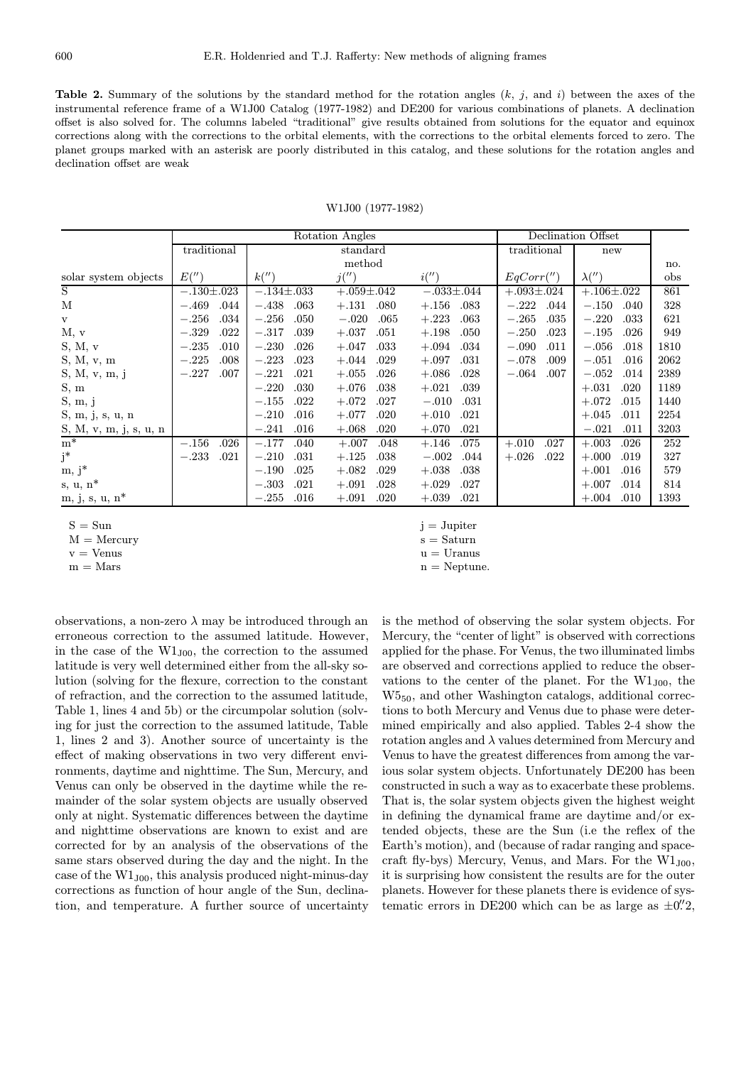**Table 2.** Summary of the solutions by the standard method for the rotation angles  $(k, j)$ , and i) between the axes of the instrumental reference frame of a W1J00 Catalog (1977-1982) and DE200 for various combinations of planets. A declination offset is also solved for. The columns labeled "traditional" give results obtained from solutions for the equator and equinox corrections along with the corrections to the orbital elements, with the corrections to the orbital elements forced to zero. The planet groups marked with an asterisk are poorly distributed in this catalog, and these solutions for the rotation angles and declination offset are weak

W1J00 (1977-1982)

|                                 | Rotation Angles  |      |                  |          |                  | Declination Offset |                  |             |                  |      |                  |      |      |
|---------------------------------|------------------|------|------------------|----------|------------------|--------------------|------------------|-------------|------------------|------|------------------|------|------|
|                                 | traditional      |      |                  | standard |                  |                    |                  | traditional |                  | new  |                  |      |      |
|                                 |                  |      |                  | method   |                  |                    |                  |             |                  |      | no.              |      |      |
| solar system objects            | E('')            |      | k''              |          | j('')            |                    | i('')            |             | EqCorr''         |      | $\lambda('')$    |      | obs  |
| S                               | $-.130 \pm .023$ |      | $-.134 \pm .033$ |          | $+.059 \pm .042$ |                    | $-.033 \pm .044$ |             | $+.093 \pm .024$ |      | $+.106 \pm .022$ |      | 861  |
| M                               | $-.469$          | .044 | $-.438$          | .063     | $+.131$          | .080               | $+.156$          | .083        | $-.222$          | .044 | $-.150$          | .040 | 328  |
| $\mathbf{V}$                    | $-.256$          | .034 | $-.256$          | .050     | $-.020$          | .065               | $+.223$          | .063        | $-.265$          | .035 | $-.220$          | .033 | 621  |
| M, v                            | $-.329$          | .022 | $-.317$          | .039     | $+.037$          | .051               | $+.198$          | .050        | $-.250$          | .023 | $-.195$          | .026 | 949  |
| S, M, v                         | $-.235$          | .010 | $-.230$          | .026     | $+.047$          | .033               | $+.094$          | .034        | $-.090$          | .011 | $-.056$          | .018 | 1810 |
| S, M, v, m                      | $-.225$          | .008 | $-.223$          | .023     | $+.044$          | .029               | $+.097$          | .031        | $-.078$          | .009 | $-.051$          | .016 | 2062 |
| S, M, v, m, j                   | $-.227$          | .007 | $-.221$          | .021     | $+.055$          | .026               | $+.086$          | .028        | $-.064$          | .007 | $-.052$          | .014 | 2389 |
| S, m                            |                  |      | $-.220$          | .030     | $+.076$          | .038               | $+.021$          | .039        |                  |      | $+.031$          | .020 | 1189 |
| S, m, j                         |                  |      | $-.155$          | .022     | $+.072$          | .027               | $-.010$          | .031        |                  |      | $+.072$          | .015 | 1440 |
| S, m, j, s, u, n                |                  |      | $-.210$          | .016     | $+.077$          | .020               | $+.010$          | .021        |                  |      | $+.045$          | .011 | 2254 |
| $S,\,M,\,v,\,m,\,j,\,s,\,u,\,n$ |                  |      | $-.241$          | .016     | $+.068$          | .020               | $+.070$          | .021        |                  |      | $-.021$          | .011 | 3203 |
| $m^*$                           | $-.156$          | .026 | $-.177$          | .040     | $+.007$          | .048               | $+.146$          | .075        | $+.010$          | .027 | $+.003$          | .026 | 252  |
| $j^*$                           | $-.233$          | .021 | $-.210$          | .031     | $+.125$          | .038               | $-.002$          | .044        | $+.026$          | .022 | $+.000$          | .019 | 327  |
| $m, j^*$                        |                  |      | $-.190$          | .025     | $+.082$          | .029               | $+.038$          | .038        |                  |      | $+.001$          | .016 | 579  |
| $s, u, n^*$                     |                  |      | $-.303$          | .021     | $+.091$          | .028               | $+.029$          | .027        |                  |      | $+.007$          | .014 | 814  |
| $m, j, s, u, n^*$               |                  |      | $-.255$          | .016     | $+.091$          | .020               | $+.039$          | .021        |                  |      | $+.004$          | .010 | 1393 |

 $S = Sun$  j = Jupiter

 $M =$ Mercury s = Saturn

 $v =$  Venus  $u =$  Uranus

observations, a non-zero  $\lambda$  may be introduced through an erroneous correction to the assumed latitude. However, in the case of the  $W1_{J00}$ , the correction to the assumed latitude is very well determined either from the all-sky solution (solving for the flexure, correction to the constant of refraction, and the correction to the assumed latitude, Table 1, lines 4 and 5b) or the circumpolar solution (solving for just the correction to the assumed latitude, Table 1, lines 2 and 3). Another source of uncertainty is the effect of making observations in two very different environments, daytime and nighttime. The Sun, Mercury, and Venus can only be observed in the daytime while the remainder of the solar system objects are usually observed only at night. Systematic differences between the daytime and nighttime observations are known to exist and are corrected for by an analysis of the observations of the same stars observed during the day and the night. In the case of the  $W1_{J00}$ , this analysis produced night-minus-day corrections as function of hour angle of the Sun, declination, and temperature. A further source of uncertainty

 $m =$ Mars n = Neptune.

is the method of observing the solar system objects. For Mercury, the "center of light" is observed with corrections applied for the phase. For Venus, the two illuminated limbs are observed and corrections applied to reduce the observations to the center of the planet. For the  $W1_{J00}$ , the W550, and other Washington catalogs, additional corrections to both Mercury and Venus due to phase were determined empirically and also applied. Tables 2-4 show the rotation angles and  $\lambda$  values determined from Mercury and Venus to have the greatest differences from among the various solar system objects. Unfortunately DE200 has been constructed in such a way as to exacerbate these problems. That is, the solar system objects given the highest weight in defining the dynamical frame are daytime and/or extended objects, these are the Sun (i.e the reflex of the Earth's motion), and (because of radar ranging and spacecraft fly-bys) Mercury, Venus, and Mars. For the  $W1_{J00}$ , it is surprising how consistent the results are for the outer planets. However for these planets there is evidence of systematic errors in DE200 which can be as large as  $\pm 0\rlap{.}^{\prime\prime}2,$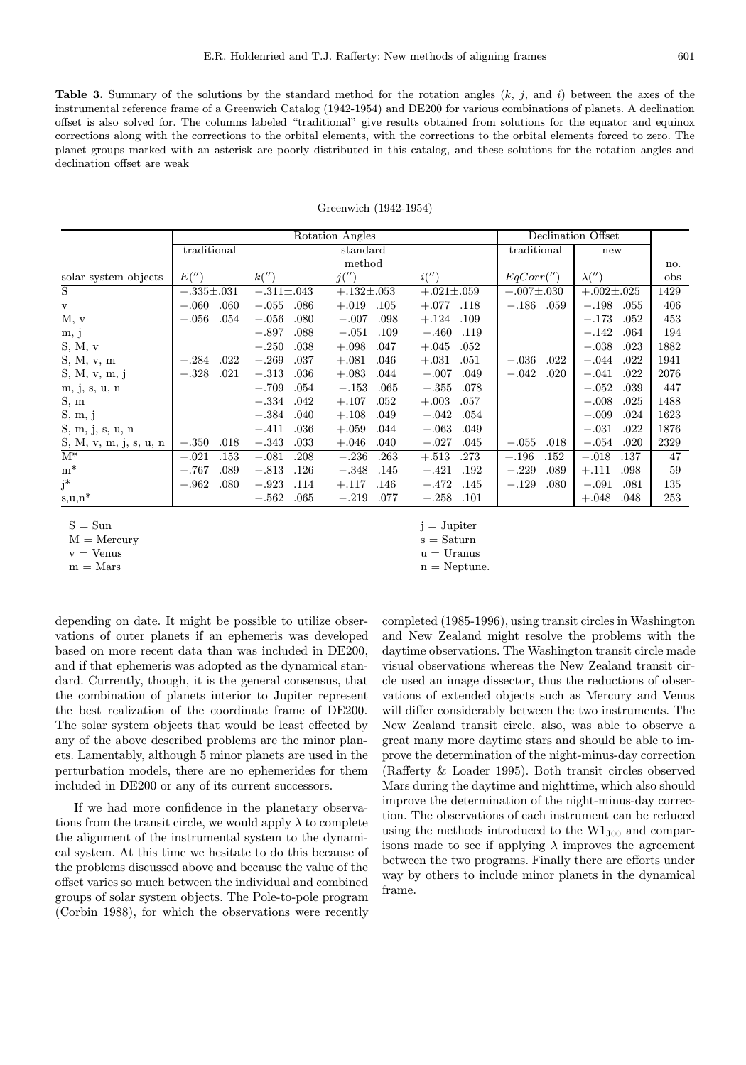**Table 3.** Summary of the solutions by the standard method for the rotation angles  $(k, j)$ , and i) between the axes of the instrumental reference frame of a Greenwich Catalog (1942-1954) and DE200 for various combinations of planets. A declination offset is also solved for. The columns labeled "traditional" give results obtained from solutions for the equator and equinox corrections along with the corrections to the orbital elements, with the corrections to the orbital elements forced to zero. The planet groups marked with an asterisk are poorly distributed in this catalog, and these solutions for the rotation angles and declination offset are weak

|                        |                  | Rotation Angles  | Declination Offset  |                  |                  |                  |      |
|------------------------|------------------|------------------|---------------------|------------------|------------------|------------------|------|
|                        | traditional      |                  | standard            | traditional      | new              |                  |      |
|                        |                  |                  | method              |                  |                  | no.              |      |
| solar system objects   | E('')            | k''              | j('')               | i('')            | EqCorr''         | $\lambda('')$    | obs  |
| S                      | $-.335 \pm .031$ | $-.311 \pm .043$ | $+.132 \pm .053$    | $+.021 \pm .059$ | $+.007 \pm .030$ | $+.002 \pm .025$ | 1429 |
| $\mathbf v$            | .060<br>$-.060$  | $-.055$<br>.086  | $+.019$<br>$.105\,$ | .118<br>$+.077$  | $-.186$<br>.059  | $-.198$<br>.055  | 406  |
| M, v                   | .054<br>$-.056$  | $-.056$<br>.080  | $-.007$<br>.098     | $+.124$<br>.109  |                  | $-.173$<br>.052  | 453  |
| m, j                   |                  | .088<br>$-.897$  | $-.051$<br>.109     | $-.460$<br>.119  |                  | $-.142$<br>.064  | 194  |
| S, M, v                |                  | $-.250$<br>.038  | $+.098$<br>.047     | .052<br>$+.045$  |                  | $-.038$<br>.023  | 1882 |
| S, M, v, m             | .022<br>$-.284$  | .037<br>$-.269$  | $+.081$<br>.046     | $+.031$<br>.051  | $-.036$<br>.022  | $-.044$<br>.022  | 1941 |
| S, M, v, m, j          | .021<br>$-.328$  | .036<br>$-.313$  | $+.083$<br>.044     | $-.007$<br>.049  | $-.042$<br>.020  | $-.041$<br>.022  | 2076 |
| m, j, s, u, n          |                  | .054<br>$-.709$  | .065<br>$-.153$     | .078<br>$-.355$  |                  | $-.052$<br>.039  | 447  |
| S, m                   |                  | $-.334$<br>.042  | .052<br>$+.107$     | $+.003$<br>.057  |                  | $-.008$<br>.025  | 1488 |
| S, m, j                |                  | $-.384$<br>.040  | $+.108$<br>.049     | $-.042$<br>.054  |                  | $-.009$<br>.024  | 1623 |
| S, m, j, s, u, n       |                  | $-.411$<br>.036  | $+.059$<br>.044     | $-.063$<br>.049  |                  | $-.031$<br>.022  | 1876 |
| S, M, v, m, j, s, u, n | $-.350$<br>.018  | $-.343$<br>.033  | $+.046$<br>.040     | .045<br>$-.027$  | .018<br>$-.055$  | $-.054$<br>.020  | 2329 |
| $\mathrm{M}^*$         | $-.021$<br>.153  | $-.081$<br>.208  | $-.236$<br>.263     | $+.513$<br>.273  | $+.196$<br>.152  | $-.018$<br>.137  | 47   |
| $m^*$                  | .089<br>$-.767$  | $-.813$<br>.126  | $-.348$<br>.145     | $-.421$<br>.192  | .089<br>$-.229$  | $+.111$<br>.098  | 59   |
| $j^*$                  | $-.962$<br>.080  | $-.923$<br>.114  | $+.117$<br>.146     | $-.472$<br>.145  | $-.129$<br>.080  | $-.091$<br>.081  | 135  |
| $s,\mathrm{u,n}^*$     |                  | .065<br>$-.562$  | .077<br>$-.219$     | .101<br>$-.258$  |                  | $+.048$<br>.048  | 253  |

| Greenwich (1942-1954) |  |
|-----------------------|--|
|-----------------------|--|

 $S = Sun$  j = Jupiter

 $M =$ Mercury s = Saturn

depending on date. It might be possible to utilize observations of outer planets if an ephemeris was developed based on more recent data than was included in DE200, and if that ephemeris was adopted as the dynamical standard. Currently, though, it is the general consensus, that the combination of planets interior to Jupiter represent the best realization of the coordinate frame of DE200. The solar system objects that would be least effected by any of the above described problems are the minor planets. Lamentably, although 5 minor planets are used in the perturbation models, there are no ephemerides for them included in DE200 or any of its current successors.

If we had more confidence in the planetary observations from the transit circle, we would apply  $\lambda$  to complete the alignment of the instrumental system to the dynamical system. At this time we hesitate to do this because of the problems discussed above and because the value of the offset varies so much between the individual and combined groups of solar system objects. The Pole-to-pole program (Corbin 1988), for which the observations were recently

 $v =$  Venus  $u =$  Uranus

 $m =$ Mars n = Neptune.

completed (1985-1996), using transit circles in Washington and New Zealand might resolve the problems with the daytime observations. The Washington transit circle made visual observations whereas the New Zealand transit circle used an image dissector, thus the reductions of observations of extended objects such as Mercury and Venus will differ considerably between the two instruments. The New Zealand transit circle, also, was able to observe a great many more daytime stars and should be able to improve the determination of the night-minus-day correction (Rafferty & Loader 1995). Both transit circles observed Mars during the daytime and nighttime, which also should improve the determination of the night-minus-day correction. The observations of each instrument can be reduced using the methods introduced to the  $W1_{J00}$  and comparisons made to see if applying  $\lambda$  improves the agreement between the two programs. Finally there are efforts under way by others to include minor planets in the dynamical frame.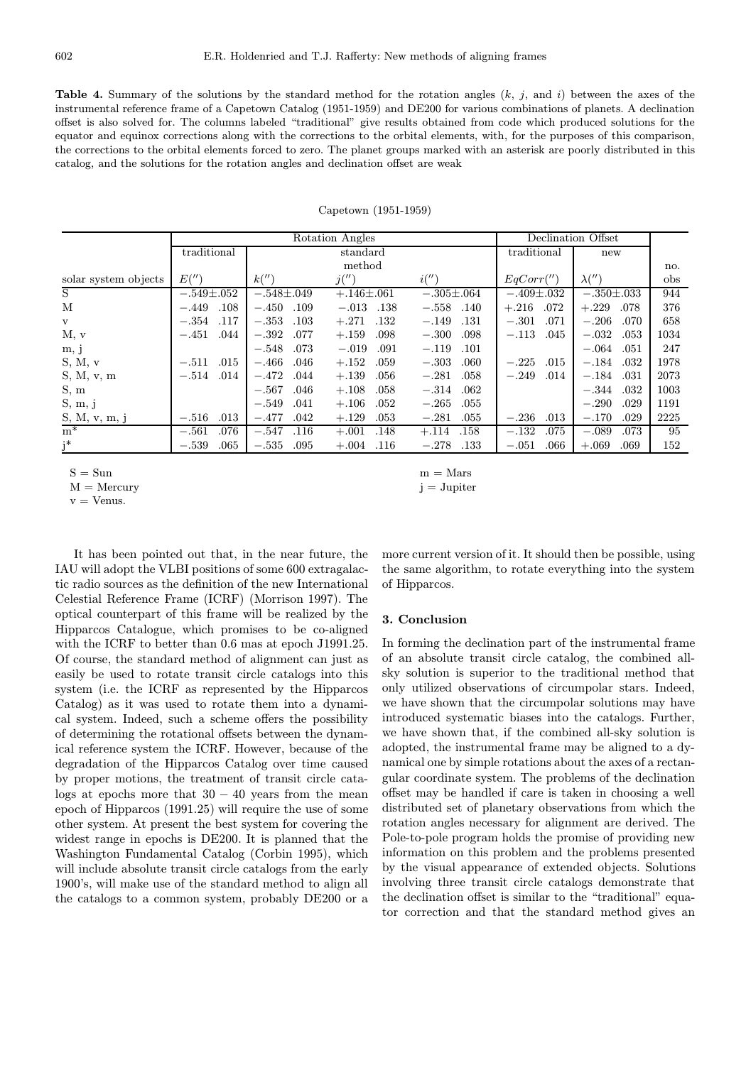**Table 4.** Summary of the solutions by the standard method for the rotation angles  $(k, j)$ , and i) between the axes of the instrumental reference frame of a Capetown Catalog (1951-1959) and DE200 for various combinations of planets. A declination offset is also solved for. The columns labeled "traditional" give results obtained from code which produced solutions for the equator and equinox corrections along with the corrections to the orbital elements, with, for the purposes of this comparison, the corrections to the orbital elements forced to zero. The planet groups marked with an asterisk are poorly distributed in this catalog, and the solutions for the rotation angles and declination offset are weak

|                      |                  | Rotation Angles  | Declination Offset |                  |                  |                  |      |
|----------------------|------------------|------------------|--------------------|------------------|------------------|------------------|------|
|                      | traditional      |                  | standard           | traditional      | new              |                  |      |
|                      |                  |                  | method             |                  |                  |                  | no.  |
| solar system objects | E('')            | k''              | j('')              | i('')            | EqCorr''         | $\lambda('')$    | obs  |
| S                    | $-.549 \pm .052$ | $-.548 \pm .049$ | $+.146\pm.061$     | $-.305 \pm .064$ | $-.409 \pm .032$ | $-.350 \pm .033$ | 944  |
| М                    | .108<br>$-.449$  | $-.450$<br>.109  | $-.013$<br>.138    | $-.558$ .140     | $-.216$<br>.072  | $+.229$<br>.078  | 376  |
| $\mathbf{V}$         | $-.354$<br>.117  | $-.353$<br>.103  | $+.271$<br>.132    | $-.149$<br>.131  | $-.301$<br>.071  | $-.206$<br>.070  | 658  |
| M, v                 | .044<br>$-.451$  | $-.392$<br>.077  | $+.159$<br>.098    | .098<br>$-.300$  | $-.113$<br>.045  | .053<br>$-.032$  | 1034 |
| m, j                 |                  | .073<br>$-.548$  | $-.019$<br>.091    | $-.119$<br>.101  |                  | $-.064$<br>.051  | 247  |
| S, M, v              | .015<br>$-.511$  | $-.466$<br>.046  | $+.152$<br>.059    | $-.303$<br>.060  | .015<br>$-.225$  | $-.184$<br>.032  | 1978 |
| S, M, v, m           | .014<br>$-.514$  | $-.472$<br>.044  | $+.139$<br>.056    | $-.281$<br>.058  | $-.249$<br>.014  | $-.184$<br>.031  | 2073 |
| S, m                 |                  | .046<br>$-.567$  | $+.108$<br>.058    | .062<br>$-.314$  |                  | .032<br>$-.344$  | 1003 |
| S, m, j              |                  | $-.549$<br>.041  | $+.106$<br>.052    | $-.265$<br>.055  |                  | $-.290$<br>.029  | 1191 |
| S, M, v, m, i        | .013<br>$-.516$  | $-.477$<br>.042  | $+.129$<br>.053    | .055<br>$-.281$  | $-.236$<br>.013  | $-.170$<br>.029  | 2225 |
| $m^*$                | $-.561$<br>.076  | $-.547$<br>.116  | $+.001$<br>.148    | $+.114$<br>.158  | .075<br>$-.132$  | $-.089$<br>.073  | 95   |
| $j^*$                | .065<br>$-.539$  | $-.535$<br>.095  | $+.004$<br>.116    | .133<br>$-.278$  | $-.051$<br>.066  | $+.069$<br>.069  | 152  |

Capetown (1951-1959)

 $v =$  Venus.

It has been pointed out that, in the near future, the IAU will adopt the VLBI positions of some 600 extragalactic radio sources as the definition of the new International Celestial Reference Frame (ICRF) (Morrison 1997). The optical counterpart of this frame will be realized by the Hipparcos Catalogue, which promises to be co-aligned with the ICRF to better than 0.6 mas at epoch J1991.25. Of course, the standard method of alignment can just as easily be used to rotate transit circle catalogs into this system (i.e. the ICRF as represented by the Hipparcos Catalog) as it was used to rotate them into a dynamical system. Indeed, such a scheme offers the possibility of determining the rotational offsets between the dynamical reference system the ICRF. However, because of the degradation of the Hipparcos Catalog over time caused by proper motions, the treatment of transit circle catalogs at epochs more that  $30 - 40$  years from the mean epoch of Hipparcos (1991.25) will require the use of some other system. At present the best system for covering the widest range in epochs is DE200. It is planned that the Washington Fundamental Catalog (Corbin 1995), which will include absolute transit circle catalogs from the early 1900's, will make use of the standard method to align all the catalogs to a common system, probably DE200 or a

 $S = Sun$  m = Mars  $M =$ Mercury j = Jupiter

> more current version of it. It should then be possible, using the same algorithm, to rotate everything into the system of Hipparcos.

# 3. Conclusion

In forming the declination part of the instrumental frame of an absolute transit circle catalog, the combined allsky solution is superior to the traditional method that only utilized observations of circumpolar stars. Indeed, we have shown that the circumpolar solutions may have introduced systematic biases into the catalogs. Further, we have shown that, if the combined all-sky solution is adopted, the instrumental frame may be aligned to a dynamical one by simple rotations about the axes of a rectangular coordinate system. The problems of the declination offset may be handled if care is taken in choosing a well distributed set of planetary observations from which the rotation angles necessary for alignment are derived. The Pole-to-pole program holds the promise of providing new information on this problem and the problems presented by the visual appearance of extended objects. Solutions involving three transit circle catalogs demonstrate that the declination offset is similar to the "traditional" equator correction and that the standard method gives an